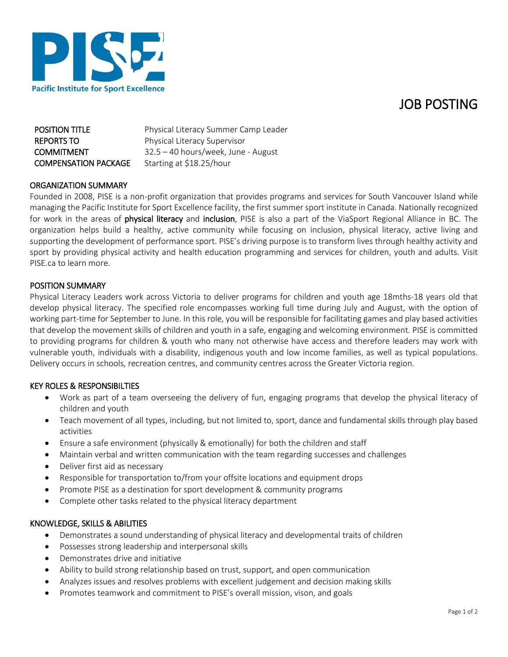# JOB POSTING



| <b>POSITION TITLE</b>       | Physical Literacy Summer Camp Leader |
|-----------------------------|--------------------------------------|
| <b>REPORTS TO</b>           | Physical Literacy Supervisor         |
| <b>COMMITMENT</b>           | 32.5 - 40 hours/week, June - August  |
| <b>COMPENSATION PACKAGE</b> | Starting at \$18.25/hour             |

### ORGANIZATION SUMMARY

Founded in 2008, PISE is a non-profit organization that provides programs and services for South Vancouver Island while managing the Pacific Institute for Sport Excellence facility, the first summer sport institute in Canada. Nationally recognized for work in the areas of physical literacy and inclusion, PISE is also a part of the ViaSport Regional Alliance in BC. The organization helps build a healthy, active community while focusing on inclusion, physical literacy, active living and supporting the development of performance sport. PISE's driving purpose is to transform lives through healthy activity and sport by providing physical activity and health education programming and services for children, youth and adults. Visit PISE.ca to learn more.

#### POSITION SUMMARY

Physical Literacy Leaders work across Victoria to deliver programs for children and youth age 18mths-18 years old that develop physical literacy. The specified role encompasses working full time during July and August, with the option of working part-time for September to June. In this role, you will be responsible for facilitating games and play based activities that develop the movement skills of children and youth in a safe, engaging and welcoming environment. PISE is committed to providing programs for children & youth who many not otherwise have access and therefore leaders may work with vulnerable youth, individuals with a disability, indigenous youth and low income families, as well as typical populations. Delivery occurs in schools, recreation centres, and community centres across the Greater Victoria region.

## KEY ROLES & RESPONSIBILTIES

- Work as part of a team overseeing the delivery of fun, engaging programs that develop the physical literacy of children and youth
- Teach movement of all types, including, but not limited to, sport, dance and fundamental skills through play based activities
- Ensure a safe environment (physically & emotionally) for both the children and staff
- Maintain verbal and written communication with the team regarding successes and challenges
- Deliver first aid as necessary
- Responsible for transportation to/from your offsite locations and equipment drops
- Promote PISE as a destination for sport development & community programs
- Complete other tasks related to the physical literacy department

#### KNOWLEDGE, SKILLS & ABILITIES

- Demonstrates a sound understanding of physical literacy and developmental traits of children
- Possesses strong leadership and interpersonal skills
- Demonstrates drive and initiative
- Ability to build strong relationship based on trust, support, and open communication
- Analyzes issues and resolves problems with excellent judgement and decision making skills
- Promotes teamwork and commitment to PISE's overall mission, vison, and goals